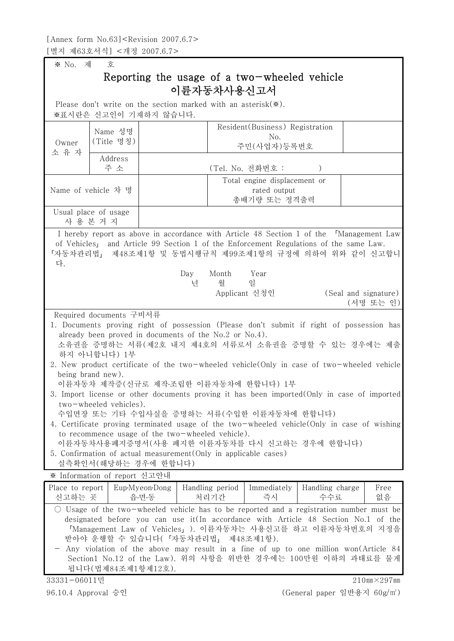※ No. 제 호

## Reporting the usage of a two-wheeled vehicle 이륜자동차사용신고서

Please don't write on the section marked with an asterisk $(\divideontimes).$ 

※표시란은 신고인이 기재하지 않습니다.

| Owner<br>소 유 자                          | Name 성명                                                     |                              |                                                                                                                                                                                                                                                                                                                                                                                                                                                                                                                                                                                                                                                                                                | Resident (Business) Registration<br>No. |                        |  |                                   |
|-----------------------------------------|-------------------------------------------------------------|------------------------------|------------------------------------------------------------------------------------------------------------------------------------------------------------------------------------------------------------------------------------------------------------------------------------------------------------------------------------------------------------------------------------------------------------------------------------------------------------------------------------------------------------------------------------------------------------------------------------------------------------------------------------------------------------------------------------------------|-----------------------------------------|------------------------|--|-----------------------------------|
|                                         | (Title 명칭)                                                  |                              |                                                                                                                                                                                                                                                                                                                                                                                                                                                                                                                                                                                                                                                                                                | 주민(사업자)등록번호                             |                        |  |                                   |
|                                         | Address                                                     |                              |                                                                                                                                                                                                                                                                                                                                                                                                                                                                                                                                                                                                                                                                                                |                                         |                        |  |                                   |
|                                         | 주 소                                                         |                              |                                                                                                                                                                                                                                                                                                                                                                                                                                                                                                                                                                                                                                                                                                | (Tel. No. 전화번호 :                        |                        |  |                                   |
|                                         |                                                             | Total engine displacement or |                                                                                                                                                                                                                                                                                                                                                                                                                                                                                                                                                                                                                                                                                                |                                         |                        |  |                                   |
| Name of vehicle 차 명                     |                                                             | rated output                 |                                                                                                                                                                                                                                                                                                                                                                                                                                                                                                                                                                                                                                                                                                |                                         |                        |  |                                   |
|                                         |                                                             |                              | 총배기량 또는 정격출력                                                                                                                                                                                                                                                                                                                                                                                                                                                                                                                                                                                                                                                                                   |                                         |                        |  |                                   |
| Usual place of usage<br>사 용 본 거 지       |                                                             |                              |                                                                                                                                                                                                                                                                                                                                                                                                                                                                                                                                                                                                                                                                                                |                                         |                        |  |                                   |
|                                         |                                                             |                              | I hereby report as above in accordance with Article 48 Section 1 of the [Management Law]                                                                                                                                                                                                                                                                                                                                                                                                                                                                                                                                                                                                       |                                         |                        |  |                                   |
| 다.                                      |                                                             |                              | of Vehicles <sub>1</sub> and Article 99 Section 1 of the Enforcement Regulations of the same Law.<br>「자동차관리법」 제48조제1항 및 동법시행규칙 제99조제1항의 규정에 의하여 위와 같이 신고합니                                                                                                                                                                                                                                                                                                                                                                                                                                                                                                                                     |                                         |                        |  |                                   |
|                                         |                                                             |                              | Day<br>Month                                                                                                                                                                                                                                                                                                                                                                                                                                                                                                                                                                                                                                                                                   | Year                                    |                        |  |                                   |
|                                         |                                                             |                              | 월<br>년                                                                                                                                                                                                                                                                                                                                                                                                                                                                                                                                                                                                                                                                                         | 일                                       |                        |  |                                   |
|                                         |                                                             |                              |                                                                                                                                                                                                                                                                                                                                                                                                                                                                                                                                                                                                                                                                                                | Applicant 신청인                           |                        |  | (Seal and signature)<br>(서명 또는 인) |
|                                         | Required documents 구비서류                                     |                              |                                                                                                                                                                                                                                                                                                                                                                                                                                                                                                                                                                                                                                                                                                |                                         |                        |  |                                   |
|                                         | 하지 아니합니다) 1부<br>being brand new).<br>two-wheeled vehicles). |                              | 1. Documents proving right of possession (Please don't submit if right of possession has<br>already been proved in documents of the No.2 or No.4).<br>소유권을 증명하는 서류(제2호 내지 제4호의 서류로서 소유권을 증명할 수 있는 경우에는 제출<br>2. New product certificate of the two-wheeled vehicle (Only in case of two-wheeled vehicle<br>이륜자동차 제작증(신규로 제작·조립한 이륜자동차에 한합니다) 1부<br>3. Import license or other documents proving it has been imported (Only in case of imported<br>수입면장 또는 기타 수입사실을 증명하는 서류(수입한 이륜자동차에 한합니다)<br>4. Certificate proving terminated usage of the two-wheeled vehicle (Only in case of wishing<br>to recommence usage of the two-wheeled vehicle).<br>이륜자동차사용폐지증명서(사용 폐지한 이륜자동차를 다시 신고하는 경우에 한합니다) |                                         |                        |  |                                   |
|                                         |                                                             |                              | 5. Confirmation of actual measurement (Only in applicable cases)                                                                                                                                                                                                                                                                                                                                                                                                                                                                                                                                                                                                                               |                                         |                        |  |                                   |
|                                         | 실측확인서 (해당하는 경우에 한합니다)<br>※ Information of report 신고안내       |                              |                                                                                                                                                                                                                                                                                                                                                                                                                                                                                                                                                                                                                                                                                                |                                         |                        |  |                                   |
|                                         |                                                             |                              |                                                                                                                                                                                                                                                                                                                                                                                                                                                                                                                                                                                                                                                                                                |                                         |                        |  |                                   |
| Place to report<br>신고하는 곳               |                                                             | Eup-Myeon-Dong<br>읍·면·동      | Handling period<br>처리기간                                                                                                                                                                                                                                                                                                                                                                                                                                                                                                                                                                                                                                                                        | Immediately<br>즉시                       | Handling charge<br>수수료 |  | Free<br>없음                        |
|                                         | 됩니다(법제84조제1항제12호).                                          |                              | $\circ$ Usage of the two-wheeled vehicle has to be reported and a registration number must be<br>designated before you can use it(In accordance with Article 48 Section No.1 of the<br>「Management Law of Vehicles」). 이륜자동차는 사용신고를 하고 이륜자동차번호의 지정을<br>받아야 운행할 수 있습니다(「자동차관리법」 제48조제1항).<br>Any violation of the above may result in a fine of up to one million won(Article 84<br>Section1 No.12 of the Law). 위의 사항을 위반한 경우에는 100만원 이하의 과태료를 물게                                                                                                                                                                                                                                                |                                         |                        |  |                                   |
| $210$ mm $\times$ 297mm<br>33331-06011민 |                                                             |                              |                                                                                                                                                                                                                                                                                                                                                                                                                                                                                                                                                                                                                                                                                                |                                         |                        |  |                                   |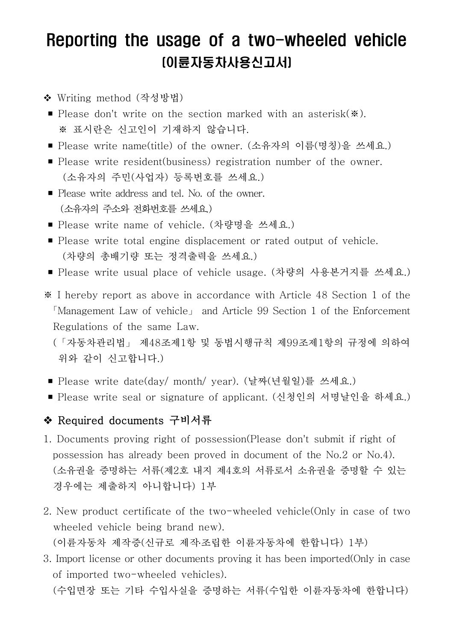## Reporting the usage of a two-wheeled vehicle (이륜자동차사용신고서)

- ◆ Writing method (작성방법)
- Please don't write on the section marked with an asterisk(※).<br>※ 표시란은 신고인이 기재하지 않습니다.
- Please write name(title) of the owner. (소유자의 이름(명칭)을 쓰세요.)
- Please write resident(business) registration number of the owner.<br>(소유자의 주민(사업자) 등록번호를 쓰세요.)
- Please write address and tel. No. of the owner. (소유자의 주소와 전화번호를 쓰세요.)
- Please write name of vehicle. (차량명을 쓰세요.)
- Please write total engine displacement or rated output of vehicle.<br>(차량의 총배기량 또는 정격출력을 쓰세요.)
- Please write usual place of vehicle usage. (차량의 사용본거지를 쓰세요.)
- ※ I hereby report as above in accordance with Article 48 Section 1 of the 「Management Law of vehicle」 and Article 99 Section 1 of the Enforcement Regulations of the same Law.<br>(「자동차관리법」 제48조제1항 및 동법시행규칙 제99조제1항의 규정에 의하여

위와 같이 신고합니다.)

- Please write date(day/ month/ year). (날짜(년월일)를 쓰세요.)
- Please write seal or signature of applicant. (신청인의 서명날인을 하세요.)

## ◆ Required documents 구비서류

- 1. Documents proving right of possession(Please don't submit if right of possession has already been proved in document of the No.2 or No.4). (소유권을 증명하는 서류(제2호 내지 제4호의 서류로서 소유권을 증명할 수 있는 경우에는 제출하지 아니합니다) 1부
- 2. New product certificate of the two-wheeled vehicle(Only in case of two wheeled vehicle being brand new). (이륜자동차 제작증(신규로 제작․조립한 이륜자동차에 한합니다) 1부)
- 3. Import license or other documents proving it has been imported(Only in case of imported two-wheeled vehicles).
	- (수입면장 또는 기타 수입사실을 증명하는 서류(수입한 이륜자동차에 한합니다)